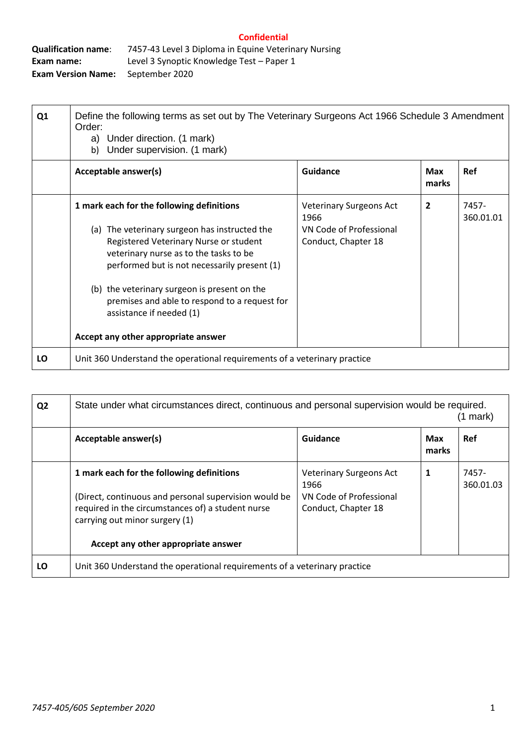| <b>Qualification name:</b> | 7457-43 Level 3 Diploma in Equine Veterinary Nursing |
|----------------------------|------------------------------------------------------|
| Exam name:                 | Level 3 Synoptic Knowledge Test – Paper 1            |
| <b>Exam Version Name:</b>  | September 2020                                       |

| Q <sub>1</sub> | Define the following terms as set out by The Veterinary Surgeons Act 1966 Schedule 3 Amendment<br>Order:<br>a) Under direction. (1 mark)<br>Under supervision. (1 mark)<br>b) |                                                                                          |                     |                    |
|----------------|-------------------------------------------------------------------------------------------------------------------------------------------------------------------------------|------------------------------------------------------------------------------------------|---------------------|--------------------|
|                | Acceptable answer(s)                                                                                                                                                          | <b>Guidance</b>                                                                          | <b>Max</b><br>marks | <b>Ref</b>         |
|                | 1 mark each for the following definitions<br>(a) The veterinary surgeon has instructed the<br>Registered Veterinary Nurse or student                                          | <b>Veterinary Surgeons Act</b><br>1966<br>VN Code of Professional<br>Conduct, Chapter 18 | $\overline{2}$      | 7457-<br>360.01.01 |
|                | veterinary nurse as to the tasks to be<br>performed but is not necessarily present (1)                                                                                        |                                                                                          |                     |                    |
|                | (b) the veterinary surgeon is present on the<br>premises and able to respond to a request for<br>assistance if needed (1)                                                     |                                                                                          |                     |                    |
|                | Accept any other appropriate answer                                                                                                                                           |                                                                                          |                     |                    |
| LO             | Unit 360 Understand the operational requirements of a veterinary practice                                                                                                     |                                                                                          |                     |                    |

| Q <sub>2</sub> | State under what circumstances direct, continuous and personal supervision would be required.                                                |                                                |                     | mark)              |
|----------------|----------------------------------------------------------------------------------------------------------------------------------------------|------------------------------------------------|---------------------|--------------------|
|                | Acceptable answer(s)                                                                                                                         | Guidance                                       | <b>Max</b><br>marks | Ref                |
|                | 1 mark each for the following definitions                                                                                                    | <b>Veterinary Surgeons Act</b><br>1966         | 1                   | 7457-<br>360.01.03 |
|                | (Direct, continuous and personal supervision would be<br>required in the circumstances of) a student nurse<br>carrying out minor surgery (1) | VN Code of Professional<br>Conduct, Chapter 18 |                     |                    |
|                | Accept any other appropriate answer                                                                                                          |                                                |                     |                    |
| LO             | Unit 360 Understand the operational requirements of a veterinary practice                                                                    |                                                |                     |                    |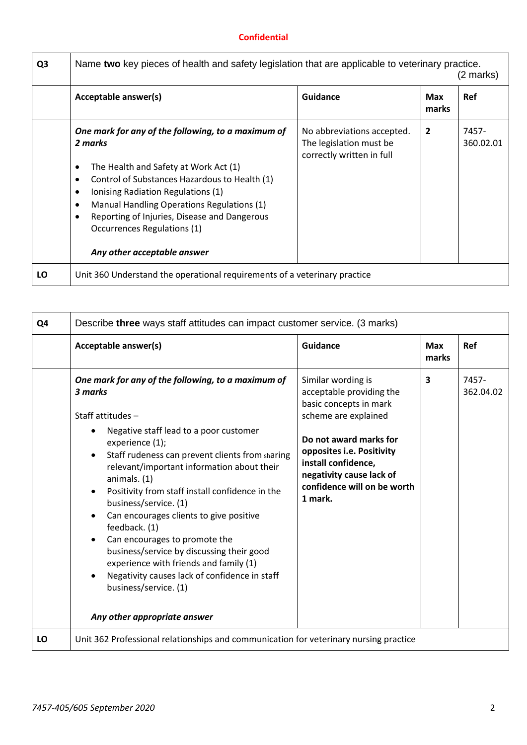| Q <sub>3</sub> | Name two key pieces of health and safety legislation that are applicable to veterinary practice.<br>(2 marks)                                                                                                                                                                                                                                                                      |                                                                                    |                |                    |
|----------------|------------------------------------------------------------------------------------------------------------------------------------------------------------------------------------------------------------------------------------------------------------------------------------------------------------------------------------------------------------------------------------|------------------------------------------------------------------------------------|----------------|--------------------|
|                | Acceptable answer(s)                                                                                                                                                                                                                                                                                                                                                               | Guidance                                                                           | Max<br>marks   | <b>Ref</b>         |
|                | One mark for any of the following, to a maximum of<br>2 marks<br>The Health and Safety at Work Act (1)<br>٠<br>Control of Substances Hazardous to Health (1)<br>٠<br>Ionising Radiation Regulations (1)<br>٠<br>Manual Handling Operations Regulations (1)<br>٠<br>Reporting of Injuries, Disease and Dangerous<br>٠<br>Occurrences Regulations (1)<br>Any other acceptable answer | No abbreviations accepted.<br>The legislation must be<br>correctly written in full | $\overline{2}$ | 7457-<br>360.02.01 |
| LO             | Unit 360 Understand the operational requirements of a veterinary practice                                                                                                                                                                                                                                                                                                          |                                                                                    |                |                    |

| Q4 | Describe three ways staff attitudes can impact customer service. (3 marks)                                                                                                                                                                                                                                                                                                                                                                                                                                                                                                                                                                              |                                                                                                                                                                                                                                                      |                     |                    |
|----|---------------------------------------------------------------------------------------------------------------------------------------------------------------------------------------------------------------------------------------------------------------------------------------------------------------------------------------------------------------------------------------------------------------------------------------------------------------------------------------------------------------------------------------------------------------------------------------------------------------------------------------------------------|------------------------------------------------------------------------------------------------------------------------------------------------------------------------------------------------------------------------------------------------------|---------------------|--------------------|
|    | Acceptable answer(s)                                                                                                                                                                                                                                                                                                                                                                                                                                                                                                                                                                                                                                    | <b>Guidance</b>                                                                                                                                                                                                                                      | <b>Max</b><br>marks | Ref                |
|    | One mark for any of the following, to a maximum of<br>3 marks<br>Staff attitudes -<br>Negative staff lead to a poor customer<br>experience (1);<br>Staff rudeness can prevent clients from sharing<br>$\bullet$<br>relevant/important information about their<br>animals. (1)<br>Positivity from staff install confidence in the<br>business/service. (1)<br>Can encourages clients to give positive<br>feedback. (1)<br>Can encourages to promote the<br>business/service by discussing their good<br>experience with friends and family (1)<br>Negativity causes lack of confidence in staff<br>business/service. (1)<br>Any other appropriate answer | Similar wording is<br>acceptable providing the<br>basic concepts in mark<br>scheme are explained<br>Do not award marks for<br>opposites i.e. Positivity<br>install confidence,<br>negativity cause lack of<br>confidence will on be worth<br>1 mark. | 3                   | 7457-<br>362.04.02 |
| LO | Unit 362 Professional relationships and communication for veterinary nursing practice                                                                                                                                                                                                                                                                                                                                                                                                                                                                                                                                                                   |                                                                                                                                                                                                                                                      |                     |                    |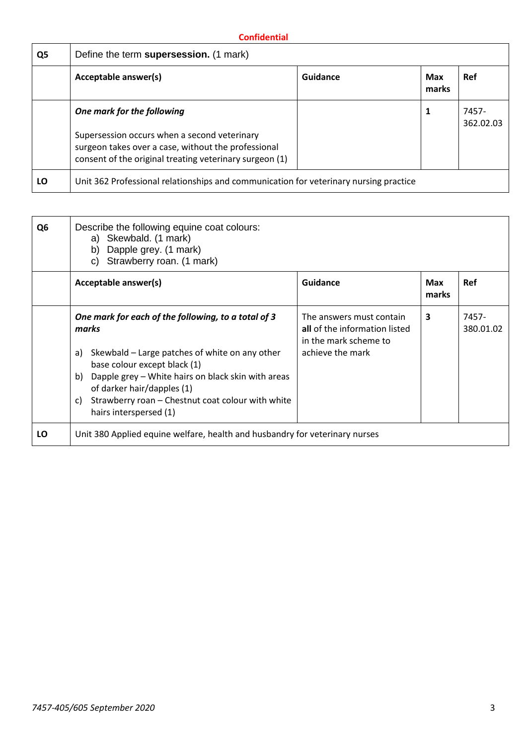| Q <sub>5</sub> | Define the term supersession. (1 mark)                                                                                                                                                       |          |              |                    |
|----------------|----------------------------------------------------------------------------------------------------------------------------------------------------------------------------------------------|----------|--------------|--------------------|
|                | Acceptable answer(s)                                                                                                                                                                         | Guidance | Max<br>marks | <b>Ref</b>         |
|                | One mark for the following<br>Supersession occurs when a second veterinary<br>surgeon takes over a case, without the professional<br>consent of the original treating veterinary surgeon (1) |          | 1            | 7457-<br>362.02.03 |
| LO             | Unit 362 Professional relationships and communication for veterinary nursing practice                                                                                                        |          |              |                    |

| Q <sub>6</sub> | Describe the following equine coat colours:<br>a) Skewbald. (1 mark)<br>Dapple grey. (1 mark)<br>b)<br>Strawberry roan. (1 mark)<br>C)                                      |                                                                                    |                     |                    |
|----------------|-----------------------------------------------------------------------------------------------------------------------------------------------------------------------------|------------------------------------------------------------------------------------|---------------------|--------------------|
|                | Acceptable answer(s)                                                                                                                                                        | <b>Guidance</b>                                                                    | <b>Max</b><br>marks | <b>Ref</b>         |
|                | One mark for each of the following, to a total of 3<br>marks                                                                                                                | The answers must contain<br>all of the information listed<br>in the mark scheme to | 3                   | 7457-<br>380.01.02 |
|                | Skewbald – Large patches of white on any other<br>a)<br>base colour except black (1)<br>b) Dapple grey – White hairs on black skin with areas<br>of darker hair/dapples (1) | achieve the mark                                                                   |                     |                    |
|                | Strawberry roan - Chestnut coat colour with white<br>C)<br>hairs interspersed (1)                                                                                           |                                                                                    |                     |                    |
| LO             | Unit 380 Applied equine welfare, health and husbandry for veterinary nurses                                                                                                 |                                                                                    |                     |                    |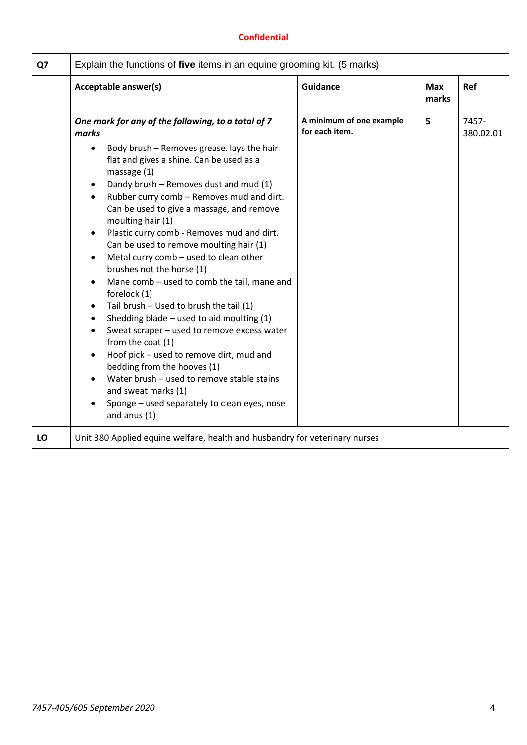| Q7 | Explain the functions of five items in an equine grooming kit. (5 marks)                                                                                                                                                                                                                                                                                                                                                                                                                                                                                                                                                                                                                                                                                                                                                                                                                                                                                                                             |                                            |                     |                    |
|----|------------------------------------------------------------------------------------------------------------------------------------------------------------------------------------------------------------------------------------------------------------------------------------------------------------------------------------------------------------------------------------------------------------------------------------------------------------------------------------------------------------------------------------------------------------------------------------------------------------------------------------------------------------------------------------------------------------------------------------------------------------------------------------------------------------------------------------------------------------------------------------------------------------------------------------------------------------------------------------------------------|--------------------------------------------|---------------------|--------------------|
|    | Acceptable answer(s)                                                                                                                                                                                                                                                                                                                                                                                                                                                                                                                                                                                                                                                                                                                                                                                                                                                                                                                                                                                 | <b>Guidance</b>                            | <b>Max</b><br>marks | Ref                |
|    | One mark for any of the following, to a total of 7<br>marks<br>Body brush - Removes grease, lays the hair<br>$\bullet$<br>flat and gives a shine. Can be used as a<br>massage $(1)$<br>Dandy brush - Removes dust and mud (1)<br>Rubber curry comb - Removes mud and dirt.<br>$\bullet$<br>Can be used to give a massage, and remove<br>moulting hair (1)<br>Plastic curry comb - Removes mud and dirt.<br>$\bullet$<br>Can be used to remove moulting hair (1)<br>Metal curry comb - used to clean other<br>brushes not the horse (1)<br>Mane comb - used to comb the tail, mane and<br>forelock (1)<br>Tail brush - Used to brush the tail (1)<br>$\bullet$<br>Shedding blade $-$ used to aid moulting $(1)$<br>Sweat scraper - used to remove excess water<br>from the coat (1)<br>Hoof pick - used to remove dirt, mud and<br>bedding from the hooves (1)<br>Water brush - used to remove stable stains<br>and sweat marks (1)<br>Sponge - used separately to clean eyes, nose<br>and anus $(1)$ | A minimum of one example<br>for each item. | 5                   | 7457-<br>380.02.01 |
| LO | Unit 380 Applied equine welfare, health and husbandry for veterinary nurses                                                                                                                                                                                                                                                                                                                                                                                                                                                                                                                                                                                                                                                                                                                                                                                                                                                                                                                          |                                            |                     |                    |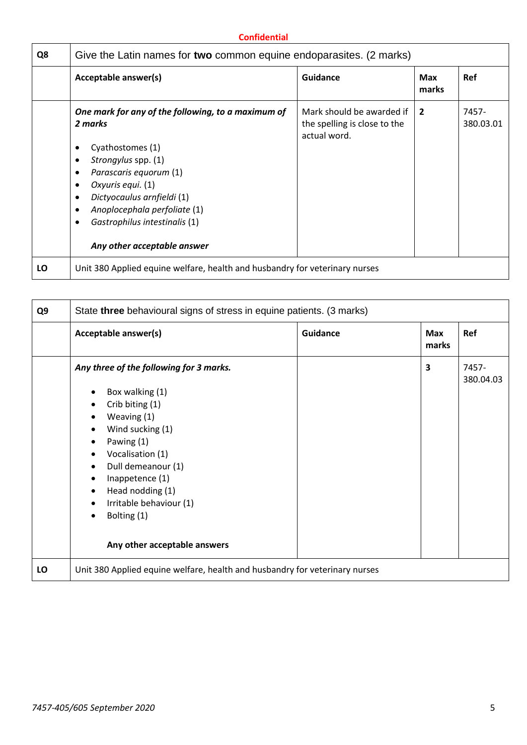| Q8 | Give the Latin names for two common equine endoparasites. (2 marks)                                                                                                                                                                                                                        |                                                                           |                     |                    |
|----|--------------------------------------------------------------------------------------------------------------------------------------------------------------------------------------------------------------------------------------------------------------------------------------------|---------------------------------------------------------------------------|---------------------|--------------------|
|    | Acceptable answer(s)                                                                                                                                                                                                                                                                       | Guidance                                                                  | <b>Max</b><br>marks | <b>Ref</b>         |
|    | One mark for any of the following, to a maximum of<br>2 marks<br>Cyathostomes (1)<br>Strongylus spp. (1)<br>٠<br>Parascaris equorum (1)<br>Oxyuris equi. (1)<br>Dictyocaulus arnfieldi (1)<br>Anoplocephala perfoliate (1)<br>Gastrophilus intestinalis (1)<br>Any other acceptable answer | Mark should be awarded if<br>the spelling is close to the<br>actual word. | $\overline{2}$      | 7457-<br>380.03.01 |
| LO | Unit 380 Applied equine welfare, health and husbandry for veterinary nurses                                                                                                                                                                                                                |                                                                           |                     |                    |

| Q9 | State three behavioural signs of stress in equine patients. (3 marks)                                                                                                                                                                                                                                                                                                                                                    |                 |                     |                    |
|----|--------------------------------------------------------------------------------------------------------------------------------------------------------------------------------------------------------------------------------------------------------------------------------------------------------------------------------------------------------------------------------------------------------------------------|-----------------|---------------------|--------------------|
|    | Acceptable answer(s)                                                                                                                                                                                                                                                                                                                                                                                                     | <b>Guidance</b> | <b>Max</b><br>marks | Ref                |
|    | Any three of the following for 3 marks.<br>Box walking (1)<br>$\bullet$<br>Crib biting (1)<br>$\bullet$<br>Weaving (1)<br>$\bullet$<br>Wind sucking (1)<br>$\bullet$<br>Pawing (1)<br>٠<br>Vocalisation (1)<br>$\bullet$<br>Dull demeanour (1)<br>$\bullet$<br>Inappetence (1)<br>٠<br>Head nodding (1)<br>$\bullet$<br>Irritable behaviour (1)<br>$\bullet$<br>Bolting (1)<br>$\bullet$<br>Any other acceptable answers |                 | 3                   | 7457-<br>380.04.03 |
| LO | Unit 380 Applied equine welfare, health and husbandry for veterinary nurses                                                                                                                                                                                                                                                                                                                                              |                 |                     |                    |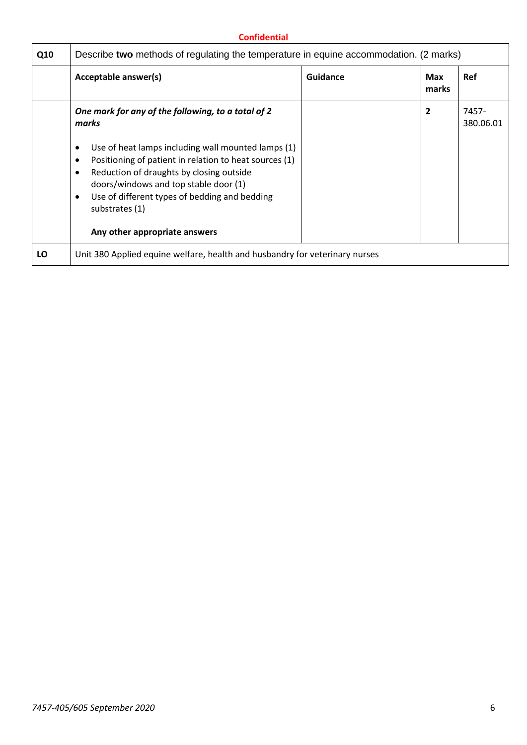| Q10 | Describe two methods of regulating the temperature in equine accommodation. (2 marks)                                                                                                                                                                                      |          |                |                    |
|-----|----------------------------------------------------------------------------------------------------------------------------------------------------------------------------------------------------------------------------------------------------------------------------|----------|----------------|--------------------|
|     | Acceptable answer(s)                                                                                                                                                                                                                                                       | Guidance | Max<br>marks   | <b>Ref</b>         |
|     | One mark for any of the following, to a total of 2<br>marks<br>Use of heat lamps including wall mounted lamps (1)<br>٠<br>Positioning of patient in relation to heat sources (1)<br>٠<br>Reduction of draughts by closing outside<br>doors/windows and top stable door (1) |          | $\overline{2}$ | 7457-<br>380.06.01 |
|     | Use of different types of bedding and bedding<br>٠<br>substrates (1)<br>Any other appropriate answers                                                                                                                                                                      |          |                |                    |
| LO  | Unit 380 Applied equine welfare, health and husbandry for veterinary nurses                                                                                                                                                                                                |          |                |                    |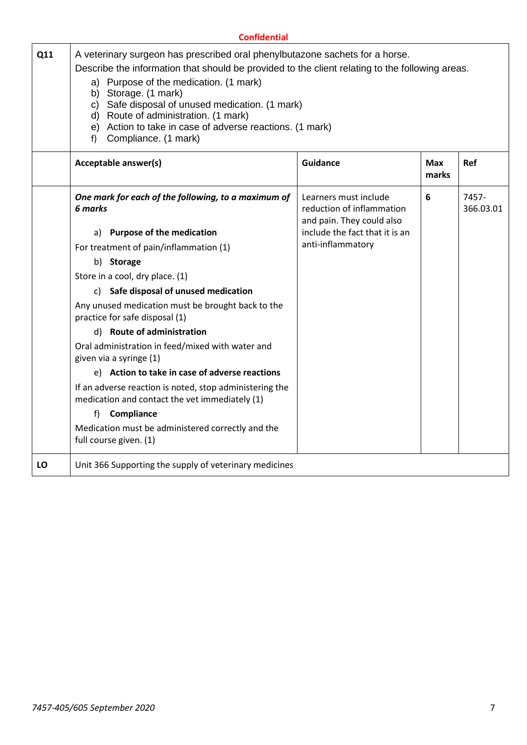|     | <b>Confidential</b>                                                                                                                                                                                                                                                                                                                                                                                                                          |                                                                                                                                        |                     |                    |
|-----|----------------------------------------------------------------------------------------------------------------------------------------------------------------------------------------------------------------------------------------------------------------------------------------------------------------------------------------------------------------------------------------------------------------------------------------------|----------------------------------------------------------------------------------------------------------------------------------------|---------------------|--------------------|
| Q11 | A veterinary surgeon has prescribed oral phenylbutazone sachets for a horse.<br>Describe the information that should be provided to the client relating to the following areas.<br>a) Purpose of the medication. (1 mark)<br>Storage. (1 mark)<br>b)<br>c) Safe disposal of unused medication. (1 mark)<br>d) Route of administration. (1 mark)<br>e) Action to take in case of adverse reactions. (1 mark)<br>Compliance. (1 mark)<br>$f$ ) |                                                                                                                                        |                     |                    |
|     | Acceptable answer(s)                                                                                                                                                                                                                                                                                                                                                                                                                         | <b>Guidance</b>                                                                                                                        | <b>Max</b><br>marks | Ref                |
|     | One mark for each of the following, to a maximum of<br>6 marks<br>a) Purpose of the medication                                                                                                                                                                                                                                                                                                                                               | Learners must include<br>reduction of inflammation<br>and pain. They could also<br>include the fact that it is an<br>anti-inflammatory | 6                   | 7457-<br>366.03.01 |
|     | For treatment of pain/inflammation (1)<br>b) Storage                                                                                                                                                                                                                                                                                                                                                                                         |                                                                                                                                        |                     |                    |
|     | Store in a cool, dry place. (1)<br>c) Safe disposal of unused medication<br>Any unused medication must be brought back to the                                                                                                                                                                                                                                                                                                                |                                                                                                                                        |                     |                    |
|     | practice for safe disposal (1)<br>d) Route of administration<br>Oral administration in feed/mixed with water and                                                                                                                                                                                                                                                                                                                             |                                                                                                                                        |                     |                    |
|     | given via a syringe (1)<br>e) Action to take in case of adverse reactions                                                                                                                                                                                                                                                                                                                                                                    |                                                                                                                                        |                     |                    |
|     | If an adverse reaction is noted, stop administering the<br>medication and contact the vet immediately (1)                                                                                                                                                                                                                                                                                                                                    |                                                                                                                                        |                     |                    |
|     | f<br>Compliance<br>Medication must be administered correctly and the<br>full course given. (1)                                                                                                                                                                                                                                                                                                                                               |                                                                                                                                        |                     |                    |
| LO  | Unit 366 Supporting the supply of veterinary medicines                                                                                                                                                                                                                                                                                                                                                                                       |                                                                                                                                        |                     |                    |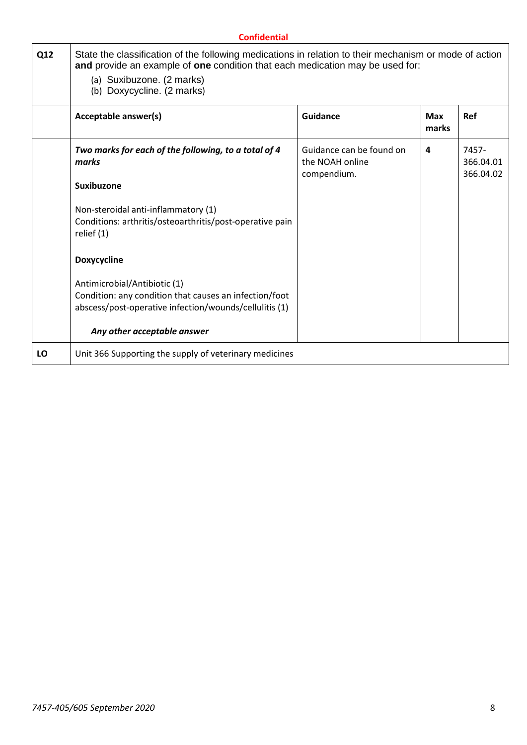|     | <b>Confidential</b>                                                                                                                                                                                                                                |                                                            |                     |                                 |  |
|-----|----------------------------------------------------------------------------------------------------------------------------------------------------------------------------------------------------------------------------------------------------|------------------------------------------------------------|---------------------|---------------------------------|--|
| Q12 | State the classification of the following medications in relation to their mechanism or mode of action<br>and provide an example of one condition that each medication may be used for:<br>(a) Suxibuzone. (2 marks)<br>(b) Doxycycline. (2 marks) |                                                            |                     |                                 |  |
|     | Acceptable answer(s)                                                                                                                                                                                                                               | <b>Guidance</b>                                            | <b>Max</b><br>marks | <b>Ref</b>                      |  |
|     | Two marks for each of the following, to a total of 4<br>marks                                                                                                                                                                                      | Guidance can be found on<br>the NOAH online<br>compendium. | 4                   | 7457-<br>366.04.01<br>366.04.02 |  |
|     | <b>Suxibuzone</b>                                                                                                                                                                                                                                  |                                                            |                     |                                 |  |
|     | Non-steroidal anti-inflammatory (1)<br>Conditions: arthritis/osteoarthritis/post-operative pain<br>relief (1)                                                                                                                                      |                                                            |                     |                                 |  |
|     | Doxycycline                                                                                                                                                                                                                                        |                                                            |                     |                                 |  |
|     | Antimicrobial/Antibiotic (1)<br>Condition: any condition that causes an infection/foot<br>abscess/post-operative infection/wounds/cellulitis (1)                                                                                                   |                                                            |                     |                                 |  |
|     | Any other acceptable answer                                                                                                                                                                                                                        |                                                            |                     |                                 |  |
| LO  | Unit 366 Supporting the supply of veterinary medicines                                                                                                                                                                                             |                                                            |                     |                                 |  |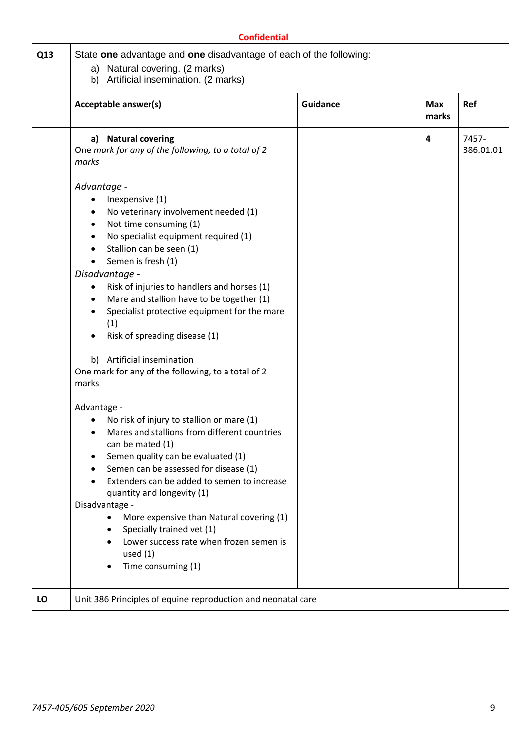|     | <b>Confidential</b>                                                                                                                                                                                                                                                                                                                                                                                                                                                                                                                                                                                                                                                                                                                                                                                                                                                                                                                                                                                                                               |                 |                     |                    |
|-----|---------------------------------------------------------------------------------------------------------------------------------------------------------------------------------------------------------------------------------------------------------------------------------------------------------------------------------------------------------------------------------------------------------------------------------------------------------------------------------------------------------------------------------------------------------------------------------------------------------------------------------------------------------------------------------------------------------------------------------------------------------------------------------------------------------------------------------------------------------------------------------------------------------------------------------------------------------------------------------------------------------------------------------------------------|-----------------|---------------------|--------------------|
| Q13 | State one advantage and one disadvantage of each of the following:<br>a) Natural covering. (2 marks)<br>b) Artificial insemination. (2 marks)                                                                                                                                                                                                                                                                                                                                                                                                                                                                                                                                                                                                                                                                                                                                                                                                                                                                                                     |                 |                     |                    |
|     | Acceptable answer(s)                                                                                                                                                                                                                                                                                                                                                                                                                                                                                                                                                                                                                                                                                                                                                                                                                                                                                                                                                                                                                              | <b>Guidance</b> | <b>Max</b><br>marks | Ref                |
|     | <b>Natural covering</b><br>a)<br>One mark for any of the following, to a total of 2<br>marks                                                                                                                                                                                                                                                                                                                                                                                                                                                                                                                                                                                                                                                                                                                                                                                                                                                                                                                                                      |                 | 4                   | 7457-<br>386.01.01 |
|     | Advantage -<br>Inexpensive (1)<br>$\bullet$<br>No veterinary involvement needed (1)<br>٠<br>Not time consuming (1)<br>$\bullet$<br>No specialist equipment required (1)<br>Stallion can be seen (1)<br>Semen is fresh (1)<br>$\bullet$<br>Disadvantage -<br>Risk of injuries to handlers and horses (1)<br>٠<br>Mare and stallion have to be together (1)<br>$\bullet$<br>Specialist protective equipment for the mare<br>(1)<br>Risk of spreading disease (1)<br>Artificial insemination<br>b)<br>One mark for any of the following, to a total of 2<br>marks<br>Advantage -<br>No risk of injury to stallion or mare (1)<br>Mares and stallions from different countries<br>$\bullet$<br>can be mated (1)<br>Semen quality can be evaluated (1)<br>Semen can be assessed for disease (1)<br>Extenders can be added to semen to increase<br>quantity and longevity (1)<br>Disadvantage -<br>More expensive than Natural covering (1)<br>Specially trained vet (1)<br>Lower success rate when frozen semen is<br>used $(1)$<br>Time consuming (1) |                 |                     |                    |
| LO  | Unit 386 Principles of equine reproduction and neonatal care                                                                                                                                                                                                                                                                                                                                                                                                                                                                                                                                                                                                                                                                                                                                                                                                                                                                                                                                                                                      |                 |                     |                    |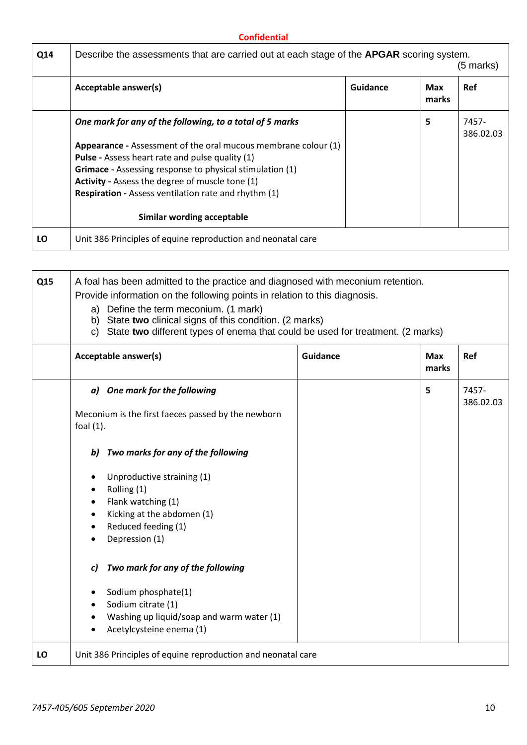| Q14 | Describe the assessments that are carried out at each stage of the <b>APGAR</b> scoring system. |          |              | (5 marks)          |
|-----|-------------------------------------------------------------------------------------------------|----------|--------------|--------------------|
|     | Acceptable answer(s)                                                                            | Guidance | Max<br>marks | <b>Ref</b>         |
|     | One mark for any of the following, to a total of 5 marks                                        |          | 5            | 7457-<br>386.02.03 |
|     | Appearance - Assessment of the oral mucous membrane colour (1)                                  |          |              |                    |
|     | <b>Pulse</b> - Assess heart rate and pulse quality (1)                                          |          |              |                    |
|     | <b>Grimace</b> - Assessing response to physical stimulation (1)                                 |          |              |                    |
|     | <b>Activity</b> - Assess the degree of muscle tone (1)                                          |          |              |                    |
|     | <b>Respiration - Assess ventilation rate and rhythm (1)</b>                                     |          |              |                    |
|     | Similar wording acceptable                                                                      |          |              |                    |
| LO  | Unit 386 Principles of equine reproduction and neonatal care                                    |          |              |                    |

| Q15 | A foal has been admitted to the practice and diagnosed with meconium retention. |                                                                                   |                 |                     |                    |
|-----|---------------------------------------------------------------------------------|-----------------------------------------------------------------------------------|-----------------|---------------------|--------------------|
|     | Provide information on the following points in relation to this diagnosis.      |                                                                                   |                 |                     |                    |
|     |                                                                                 | a) Define the term meconium. (1 mark)                                             |                 |                     |                    |
|     |                                                                                 | b) State two clinical signs of this condition. (2 marks)                          |                 |                     |                    |
|     |                                                                                 | c) State two different types of enema that could be used for treatment. (2 marks) |                 |                     |                    |
|     |                                                                                 | Acceptable answer(s)                                                              | <b>Guidance</b> | <b>Max</b><br>marks | Ref                |
|     |                                                                                 |                                                                                   |                 |                     |                    |
|     |                                                                                 | a) One mark for the following                                                     |                 | 5                   | 7457-<br>386.02.03 |
|     |                                                                                 | Meconium is the first faeces passed by the newborn                                |                 |                     |                    |
|     | foal $(1)$ .                                                                    |                                                                                   |                 |                     |                    |
|     |                                                                                 |                                                                                   |                 |                     |                    |
|     | b)                                                                              | Two marks for any of the following                                                |                 |                     |                    |
|     |                                                                                 |                                                                                   |                 |                     |                    |
|     | ٠                                                                               | Unproductive straining (1)                                                        |                 |                     |                    |
|     | $\bullet$                                                                       | Rolling (1)                                                                       |                 |                     |                    |
|     |                                                                                 | Flank watching (1)                                                                |                 |                     |                    |
|     | $\bullet$                                                                       | Kicking at the abdomen (1)                                                        |                 |                     |                    |
|     | $\bullet$                                                                       | Reduced feeding (1)                                                               |                 |                     |                    |
|     |                                                                                 | Depression (1)                                                                    |                 |                     |                    |
|     | C)                                                                              | Two mark for any of the following                                                 |                 |                     |                    |
|     | ٠                                                                               | Sodium phosphate(1)                                                               |                 |                     |                    |
|     |                                                                                 | Sodium citrate (1)                                                                |                 |                     |                    |
|     |                                                                                 | Washing up liquid/soap and warm water (1)                                         |                 |                     |                    |
|     |                                                                                 | Acetylcysteine enema (1)                                                          |                 |                     |                    |
| LO  |                                                                                 | Unit 386 Principles of equine reproduction and neonatal care                      |                 |                     |                    |

r